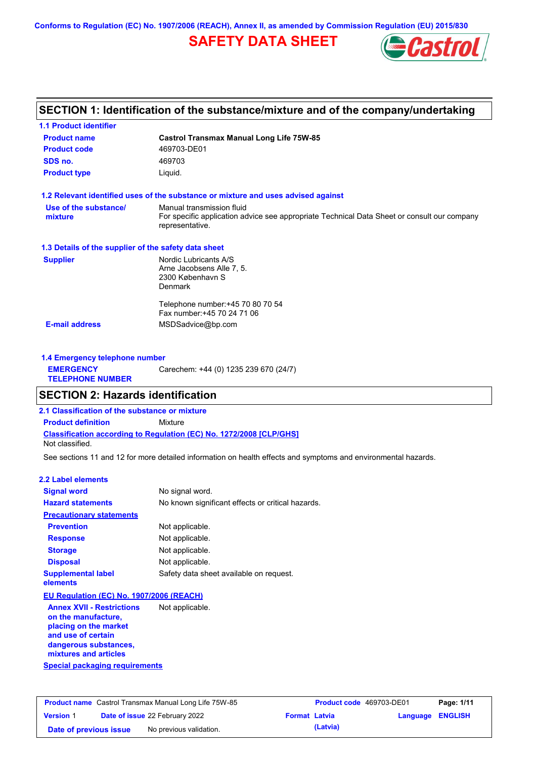**Conforms to Regulation (EC) No. 1907/2006 (REACH), Annex II, as amended by Commission Regulation (EU) 2015/830**

# **SAFETY DATA SHEET**



## **SECTION 1: Identification of the substance/mixture and of the company/undertaking**

| <b>Product name</b>                                  | <b>Castrol Transmax Manual Long Life 75W-85</b>                                                                |
|------------------------------------------------------|----------------------------------------------------------------------------------------------------------------|
| <b>Product code</b>                                  | 469703-DE01                                                                                                    |
| SDS no.                                              | 469703                                                                                                         |
| <b>Product type</b>                                  | Liquid.                                                                                                        |
|                                                      | 1.2 Relevant identified uses of the substance or mixture and uses advised against                              |
| Use of the substance/                                | Manual transmission fluid                                                                                      |
| mixture                                              | For specific application advice see appropriate Technical Data Sheet or consult our company<br>representative. |
| 1.3 Details of the supplier of the safety data sheet |                                                                                                                |
| <b>Supplier</b>                                      | Nordic Lubricants A/S                                                                                          |
|                                                      | Arne Jacobsens Alle 7, 5.                                                                                      |
|                                                      | 2300 København S                                                                                               |
|                                                      | <b>Denmark</b>                                                                                                 |
|                                                      | Telephone number: +45 70 80 70 54                                                                              |
|                                                      | Fax number: +45 70 24 71 06                                                                                    |
| <b>E-mail address</b>                                | MSDSadvice@bp.com                                                                                              |

| 1.4 Emergency telephone number              |                                       |  |
|---------------------------------------------|---------------------------------------|--|
| <b>EMERGENCY</b><br><b>TELEPHONE NUMBER</b> | Carechem: +44 (0) 1235 239 670 (24/7) |  |

### **SECTION 2: Hazards identification**

**2.1 Classification of the substance or mixture**

**Classification according to Regulation (EC) No. 1272/2008 [CLP/GHS] Product definition** Mixture

Not classified.

See sections 11 and 12 for more detailed information on health effects and symptoms and environmental hazards.

#### **2.2 Label elements**

| <b>Signal word</b>                                      | No signal word.                                   |
|---------------------------------------------------------|---------------------------------------------------|
| <b>Hazard statements</b>                                | No known significant effects or critical hazards. |
| <b>Precautionary statements</b>                         |                                                   |
| <b>Prevention</b>                                       | Not applicable.                                   |
| <b>Response</b>                                         | Not applicable.                                   |
| <b>Storage</b>                                          | Not applicable.                                   |
| <b>Disposal</b>                                         | Not applicable.                                   |
| <b>Supplemental label</b><br>elements                   | Safety data sheet available on request.           |
| EU Regulation (EC) No. 1907/2006 (REACH)                |                                                   |
| <b>Annex XVII - Restrictions</b><br>on the manufacture, | Not applicable.                                   |

**Special packaging requirements placing on the market and use of certain dangerous substances, mixtures and articles**

| <b>Product name</b> Castrol Transmax Manual Long Life 75W-85 |  | <b>Product code</b> 469703-DE01       |                      | Page: 1/11 |                         |  |
|--------------------------------------------------------------|--|---------------------------------------|----------------------|------------|-------------------------|--|
| <b>Version 1</b>                                             |  | <b>Date of issue 22 February 2022</b> | <b>Format Latvia</b> |            | <b>Language ENGLISH</b> |  |
| Date of previous issue                                       |  | No previous validation.               |                      | (Latvia)   |                         |  |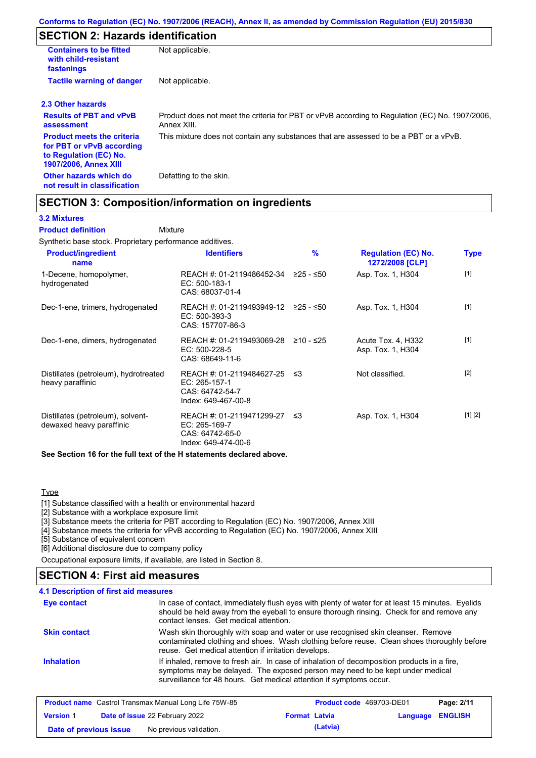## **SECTION 2: Hazards identification**

| <b>Containers to be fitted</b><br>with child-resistant<br>fastenings                                                     | Not applicable.                                                                                               |
|--------------------------------------------------------------------------------------------------------------------------|---------------------------------------------------------------------------------------------------------------|
| <b>Tactile warning of danger</b>                                                                                         | Not applicable.                                                                                               |
| 2.3 Other hazards                                                                                                        |                                                                                                               |
| <b>Results of PBT and vPvB</b><br>assessment                                                                             | Product does not meet the criteria for PBT or vPvB according to Regulation (EC) No. 1907/2006,<br>Annex XIII. |
| <b>Product meets the criteria</b><br>for PBT or vPvB according<br>to Regulation (EC) No.<br><b>1907/2006, Annex XIII</b> | This mixture does not contain any substances that are assessed to be a PBT or a vPvB.                         |
| Other hazards which do<br>not result in classification                                                                   | Defatting to the skin.                                                                                        |

## **SECTION 3: Composition/information on ingredients**

Mixture

### **3.2 Mixtures**

**Product definition**

Synthetic base stock. Proprietary performance additives.

| <b>Product/ingredient</b><br>name                             | <b>Identifiers</b>                                                                      | $\%$      | <b>Regulation (EC) No.</b><br>1272/2008 [CLP] | <b>Type</b> |
|---------------------------------------------------------------|-----------------------------------------------------------------------------------------|-----------|-----------------------------------------------|-------------|
| 1-Decene, homopolymer,<br>hydrogenated                        | REACH #: 01-2119486452-34<br>EC: 500-183-1<br>CAS: 68037-01-4                           | ≥25 - ≤50 | Asp. Tox. 1, H304                             | $[1]$       |
| Dec-1-ene, trimers, hydrogenated                              | REACH #: 01-2119493949-12 ≥25 - ≤50<br>EC: 500-393-3<br>CAS: 157707-86-3                |           | Asp. Tox. 1, H304                             | $[1]$       |
| Dec-1-ene, dimers, hydrogenated                               | REACH #: 01-2119493069-28<br>EC: 500-228-5<br>CAS: 68649-11-6                           | ≥10 - ≤25 | Acute Tox. 4, H332<br>Asp. Tox. 1, H304       | $[1]$       |
| Distillates (petroleum), hydrotreated<br>heavy paraffinic     | REACH #: 01-2119484627-25 ≤3<br>EC: 265-157-1<br>CAS: 64742-54-7<br>Index: 649-467-00-8 |           | Not classified.                               | $[2]$       |
| Distillates (petroleum), solvent-<br>dewaxed heavy paraffinic | REACH #: 01-2119471299-27<br>EC: 265-169-7<br>CAS: 64742-65-0<br>Index: 649-474-00-6    | ו≥ ≤      | Asp. Tox. 1, H304                             | [1] [2]     |

**See Section 16 for the full text of the H statements declared above.**

#### **Type**

[1] Substance classified with a health or environmental hazard

[2] Substance with a workplace exposure limit

[3] Substance meets the criteria for PBT according to Regulation (EC) No. 1907/2006, Annex XIII

[4] Substance meets the criteria for vPvB according to Regulation (EC) No. 1907/2006, Annex XIII

[5] Substance of equivalent concern

[6] Additional disclosure due to company policy

Occupational exposure limits, if available, are listed in Section 8.

## **SECTION 4: First aid measures**

#### **4.1 Description of first aid measures**

| <b>Eye contact</b>  | In case of contact, immediately flush eyes with plenty of water for at least 15 minutes. Eyelids<br>should be held away from the eyeball to ensure thorough rinsing. Check for and remove any<br>contact lenses. Get medical attention.             |
|---------------------|-----------------------------------------------------------------------------------------------------------------------------------------------------------------------------------------------------------------------------------------------------|
| <b>Skin contact</b> | Wash skin thoroughly with soap and water or use recognised skin cleanser. Remove<br>contaminated clothing and shoes. Wash clothing before reuse. Clean shoes thoroughly before<br>reuse. Get medical attention if irritation develops.              |
| <b>Inhalation</b>   | If inhaled, remove to fresh air. In case of inhalation of decomposition products in a fire,<br>symptoms may be delayed. The exposed person may need to be kept under medical<br>surveillance for 48 hours. Get medical attention if symptoms occur. |

|                        | <b>Product name</b> Castrol Transmax Manual Long Life 75W-85 |                      | Product code 469703-DE01 |                         | Page: 2/11 |
|------------------------|--------------------------------------------------------------|----------------------|--------------------------|-------------------------|------------|
| <b>Version 1</b>       | <b>Date of issue 22 February 2022</b>                        | <b>Format Latvia</b> |                          | <b>Language ENGLISH</b> |            |
| Date of previous issue | No previous validation.                                      |                      | (Latvia)                 |                         |            |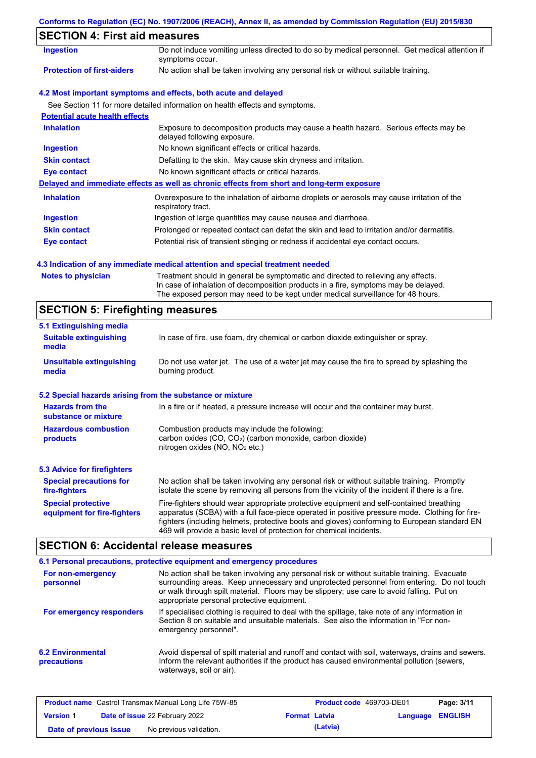### **Conforms to Regulation (EC) No. 1907/2006 (REACH), Annex II, as amended by Commission Regulation (EU) 2015/830**

# **SECTION 4: First aid measures**

| Ingestion                             | Do not induce vomiting unless directed to do so by medical personnel. Get medical attention if<br>symptoms occur.   |  |  |
|---------------------------------------|---------------------------------------------------------------------------------------------------------------------|--|--|
| <b>Protection of first-aiders</b>     | No action shall be taken involving any personal risk or without suitable training.                                  |  |  |
|                                       | 4.2 Most important symptoms and effects, both acute and delayed                                                     |  |  |
|                                       | See Section 11 for more detailed information on health effects and symptoms.                                        |  |  |
| <b>Potential acute health effects</b> |                                                                                                                     |  |  |
| <b>Inhalation</b>                     | Exposure to decomposition products may cause a health hazard. Serious effects may be<br>delayed following exposure. |  |  |
| <b>Ingestion</b>                      | No known significant effects or critical hazards.                                                                   |  |  |
| <b>Skin contact</b>                   | Defatting to the skin. May cause skin dryness and irritation.                                                       |  |  |
| Eye contact                           | No known significant effects or critical hazards.                                                                   |  |  |
|                                       | Delayed and immediate effects as well as chronic effects from short and long-term exposure                          |  |  |
| <b>Inhalation</b>                     | Overexposure to the inhalation of airborne droplets or aerosols may cause irritation of the<br>respiratory tract.   |  |  |
| <b>Ingestion</b>                      | Ingestion of large quantities may cause nausea and diarrhoea.                                                       |  |  |
| <b>Skin contact</b>                   | Prolonged or repeated contact can defat the skin and lead to irritation and/or dermatitis.                          |  |  |
| Eye contact                           | Potential risk of transient stinging or redness if accidental eye contact occurs.                                   |  |  |

### **4.3 Indication of any immediate medical attention and special treatment needed**

| <b>Notes to physician</b> | Treatment should in general be symptomatic and directed to relieving any effects.   |
|---------------------------|-------------------------------------------------------------------------------------|
|                           | In case of inhalation of decomposition products in a fire, symptoms may be delayed. |
|                           | The exposed person may need to be kept under medical surveillance for 48 hours.     |

# **SECTION 5: Firefighting measures**

| 5.1 Extinguishing media                                                                                                                                                                          |                                                                                                                                                                                                                                                                                                                                                                   |  |  |  |
|--------------------------------------------------------------------------------------------------------------------------------------------------------------------------------------------------|-------------------------------------------------------------------------------------------------------------------------------------------------------------------------------------------------------------------------------------------------------------------------------------------------------------------------------------------------------------------|--|--|--|
| <b>Suitable extinguishing</b><br>media                                                                                                                                                           | In case of fire, use foam, dry chemical or carbon dioxide extinguisher or spray.                                                                                                                                                                                                                                                                                  |  |  |  |
| <b>Unsuitable extinguishing</b><br>media                                                                                                                                                         | Do not use water jet. The use of a water jet may cause the fire to spread by splashing the<br>burning product.                                                                                                                                                                                                                                                    |  |  |  |
| 5.2 Special hazards arising from the substance or mixture                                                                                                                                        |                                                                                                                                                                                                                                                                                                                                                                   |  |  |  |
| <b>Hazards from the</b><br>substance or mixture                                                                                                                                                  | In a fire or if heated, a pressure increase will occur and the container may burst.                                                                                                                                                                                                                                                                               |  |  |  |
| Combustion products may include the following:<br><b>Hazardous combustion</b><br>carbon oxides $(CO, CO2)$ (carbon monoxide, carbon dioxide)<br>products<br>nitrogen oxides ( $NO$ , $NO2$ etc.) |                                                                                                                                                                                                                                                                                                                                                                   |  |  |  |
| <b>5.3 Advice for firefighters</b>                                                                                                                                                               |                                                                                                                                                                                                                                                                                                                                                                   |  |  |  |
| <b>Special precautions for</b><br>fire-fighters                                                                                                                                                  | No action shall be taken involving any personal risk or without suitable training. Promptly<br>isolate the scene by removing all persons from the vicinity of the incident if there is a fire.                                                                                                                                                                    |  |  |  |
| <b>Special protective</b><br>equipment for fire-fighters                                                                                                                                         | Fire-fighters should wear appropriate protective equipment and self-contained breathing<br>apparatus (SCBA) with a full face-piece operated in positive pressure mode. Clothing for fire-<br>fighters (including helmets, protective boots and gloves) conforming to European standard EN<br>469 will provide a basic level of protection for chemical incidents. |  |  |  |

# **SECTION 6: Accidental release measures**

|                                         | 6.1 Personal precautions, protective equipment and emergency procedures                                                                                                                                                                                                                                                             |
|-----------------------------------------|-------------------------------------------------------------------------------------------------------------------------------------------------------------------------------------------------------------------------------------------------------------------------------------------------------------------------------------|
| For non-emergency<br>personnel          | No action shall be taken involving any personal risk or without suitable training. Evacuate<br>surrounding areas. Keep unnecessary and unprotected personnel from entering. Do not touch<br>or walk through spilt material. Floors may be slippery; use care to avoid falling. Put on<br>appropriate personal protective equipment. |
| For emergency responders                | If specialised clothing is required to deal with the spillage, take note of any information in<br>Section 8 on suitable and unsuitable materials. See also the information in "For non-<br>emergency personnel".                                                                                                                    |
| <b>6.2 Environmental</b><br>precautions | Avoid dispersal of spilt material and runoff and contact with soil, waterways, drains and sewers.<br>Inform the relevant authorities if the product has caused environmental pollution (sewers,<br>waterways, soil or air).                                                                                                         |

|                        | <b>Product name</b> Castrol Transmax Manual Long Life 75W-85 |                      | <b>Product code</b> 469703-DE01 |                         | Page: 3/11 |
|------------------------|--------------------------------------------------------------|----------------------|---------------------------------|-------------------------|------------|
| <b>Version 1</b>       | <b>Date of issue 22 February 2022</b>                        | <b>Format Latvia</b> |                                 | <b>Language ENGLISH</b> |            |
| Date of previous issue | No previous validation.                                      |                      | (Latvia)                        |                         |            |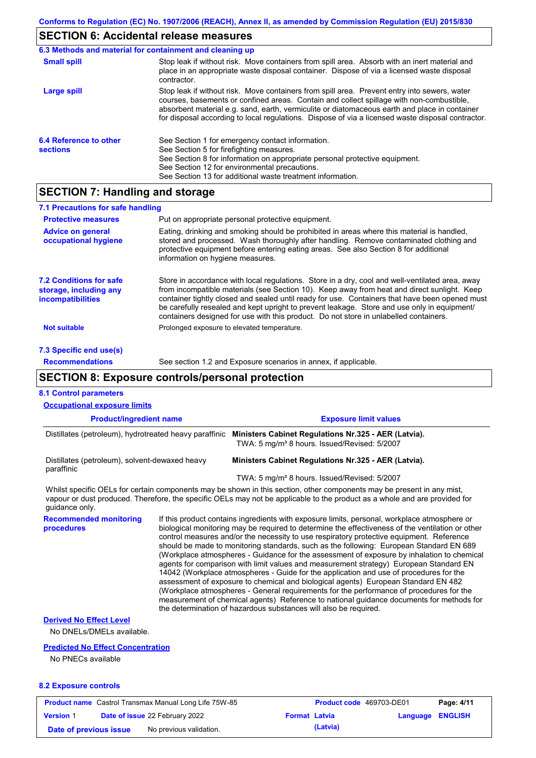# **SECTION 6: Accidental release measures**

| 6.3 Methods and material for containment and cleaning up |                                                                                                                                                                                                                                                                                                                                                                                                |
|----------------------------------------------------------|------------------------------------------------------------------------------------------------------------------------------------------------------------------------------------------------------------------------------------------------------------------------------------------------------------------------------------------------------------------------------------------------|
| <b>Small spill</b>                                       | Stop leak if without risk. Move containers from spill area. Absorb with an inert material and<br>place in an appropriate waste disposal container. Dispose of via a licensed waste disposal<br>contractor.                                                                                                                                                                                     |
| Large spill                                              | Stop leak if without risk. Move containers from spill area. Prevent entry into sewers, water<br>courses, basements or confined areas. Contain and collect spillage with non-combustible,<br>absorbent material e.g. sand, earth, vermiculite or diatomaceous earth and place in container<br>for disposal according to local regulations. Dispose of via a licensed waste disposal contractor. |
| 6.4 Reference to other<br><b>sections</b>                | See Section 1 for emergency contact information.<br>See Section 5 for firefighting measures.<br>See Section 8 for information on appropriate personal protective equipment.<br>See Section 12 for environmental precautions.<br>See Section 13 for additional waste treatment information.                                                                                                     |

## **SECTION 7: Handling and storage**

| 7.1 Precautions for safe handling                                                    |                                                                                                                                                                                                                                                                                                                                                                                                                                                                                          |
|--------------------------------------------------------------------------------------|------------------------------------------------------------------------------------------------------------------------------------------------------------------------------------------------------------------------------------------------------------------------------------------------------------------------------------------------------------------------------------------------------------------------------------------------------------------------------------------|
| <b>Protective measures</b>                                                           | Put on appropriate personal protective equipment.                                                                                                                                                                                                                                                                                                                                                                                                                                        |
| <b>Advice on general</b><br>occupational hygiene                                     | Eating, drinking and smoking should be prohibited in areas where this material is handled,<br>stored and processed. Wash thoroughly after handling. Remove contaminated clothing and<br>protective equipment before entering eating areas. See also Section 8 for additional<br>information on hygiene measures.                                                                                                                                                                         |
| <b>7.2 Conditions for safe</b><br>storage, including any<br><i>incompatibilities</i> | Store in accordance with local regulations. Store in a dry, cool and well-ventilated area, away<br>from incompatible materials (see Section 10). Keep away from heat and direct sunlight. Keep<br>container tightly closed and sealed until ready for use. Containers that have been opened must<br>be carefully resealed and kept upright to prevent leakage. Store and use only in equipment/<br>containers designed for use with this product. Do not store in unlabelled containers. |
| <b>Not suitable</b>                                                                  | Prolonged exposure to elevated temperature.                                                                                                                                                                                                                                                                                                                                                                                                                                              |
| 7.3 Specific end use(s)                                                              |                                                                                                                                                                                                                                                                                                                                                                                                                                                                                          |
| <b>Recommendations</b>                                                               | See section 1.2 and Exposure scenarios in annex, if applicable.                                                                                                                                                                                                                                                                                                                                                                                                                          |

## **SECTION 8: Exposure controls/personal protection**

| <b>8.1 Control parameters</b>                                                                                                                                                                                                                                          |                                |                                                                                                                                                                                                                                                                                                                                                                                                                                                                                                                                                                                                                                                                                                                                                                                                                                                                                                                                                                                                                            |                              |          |                |
|------------------------------------------------------------------------------------------------------------------------------------------------------------------------------------------------------------------------------------------------------------------------|--------------------------------|----------------------------------------------------------------------------------------------------------------------------------------------------------------------------------------------------------------------------------------------------------------------------------------------------------------------------------------------------------------------------------------------------------------------------------------------------------------------------------------------------------------------------------------------------------------------------------------------------------------------------------------------------------------------------------------------------------------------------------------------------------------------------------------------------------------------------------------------------------------------------------------------------------------------------------------------------------------------------------------------------------------------------|------------------------------|----------|----------------|
| <b>Occupational exposure limits</b>                                                                                                                                                                                                                                    |                                |                                                                                                                                                                                                                                                                                                                                                                                                                                                                                                                                                                                                                                                                                                                                                                                                                                                                                                                                                                                                                            |                              |          |                |
| <b>Product/ingredient name</b>                                                                                                                                                                                                                                         |                                |                                                                                                                                                                                                                                                                                                                                                                                                                                                                                                                                                                                                                                                                                                                                                                                                                                                                                                                                                                                                                            | <b>Exposure limit values</b> |          |                |
| Distillates (petroleum), hydrotreated heavy paraffinic                                                                                                                                                                                                                 |                                | Ministers Cabinet Regulations Nr.325 - AER (Latvia).<br>TWA: 5 mg/m <sup>3</sup> 8 hours. Issued/Revised: 5/2007                                                                                                                                                                                                                                                                                                                                                                                                                                                                                                                                                                                                                                                                                                                                                                                                                                                                                                           |                              |          |                |
| Distillates (petroleum), solvent-dewaxed heavy<br>paraffinic                                                                                                                                                                                                           |                                | Ministers Cabinet Regulations Nr.325 - AER (Latvia).                                                                                                                                                                                                                                                                                                                                                                                                                                                                                                                                                                                                                                                                                                                                                                                                                                                                                                                                                                       |                              |          |                |
|                                                                                                                                                                                                                                                                        |                                | TWA: 5 mg/m <sup>3</sup> 8 hours. Issued/Revised: 5/2007                                                                                                                                                                                                                                                                                                                                                                                                                                                                                                                                                                                                                                                                                                                                                                                                                                                                                                                                                                   |                              |          |                |
| Whilst specific OELs for certain components may be shown in this section, other components may be present in any mist,<br>vapour or dust produced. Therefore, the specific OELs may not be applicable to the product as a whole and are provided for<br>quidance only. |                                |                                                                                                                                                                                                                                                                                                                                                                                                                                                                                                                                                                                                                                                                                                                                                                                                                                                                                                                                                                                                                            |                              |          |                |
| <b>Recommended monitoring</b><br>procedures                                                                                                                                                                                                                            |                                | If this product contains ingredients with exposure limits, personal, workplace atmosphere or<br>biological monitoring may be required to determine the effectiveness of the ventilation or other<br>control measures and/or the necessity to use respiratory protective equipment. Reference<br>should be made to monitoring standards, such as the following: European Standard EN 689<br>(Workplace atmospheres - Guidance for the assessment of exposure by inhalation to chemical<br>agents for comparison with limit values and measurement strategy) European Standard EN<br>14042 (Workplace atmospheres - Guide for the application and use of procedures for the<br>assessment of exposure to chemical and biological agents) European Standard EN 482<br>(Workplace atmospheres - General requirements for the performance of procedures for the<br>measurement of chemical agents) Reference to national guidance documents for methods for<br>the determination of hazardous substances will also be required. |                              |          |                |
| <b>Derived No Effect Level</b>                                                                                                                                                                                                                                         |                                |                                                                                                                                                                                                                                                                                                                                                                                                                                                                                                                                                                                                                                                                                                                                                                                                                                                                                                                                                                                                                            |                              |          |                |
| No DNELs/DMELs available.                                                                                                                                                                                                                                              |                                |                                                                                                                                                                                                                                                                                                                                                                                                                                                                                                                                                                                                                                                                                                                                                                                                                                                                                                                                                                                                                            |                              |          |                |
| <b>Predicted No Effect Concentration</b>                                                                                                                                                                                                                               |                                |                                                                                                                                                                                                                                                                                                                                                                                                                                                                                                                                                                                                                                                                                                                                                                                                                                                                                                                                                                                                                            |                              |          |                |
| No PNECs available                                                                                                                                                                                                                                                     |                                |                                                                                                                                                                                                                                                                                                                                                                                                                                                                                                                                                                                                                                                                                                                                                                                                                                                                                                                                                                                                                            |                              |          |                |
| <b>8.2 Exposure controls</b>                                                                                                                                                                                                                                           |                                |                                                                                                                                                                                                                                                                                                                                                                                                                                                                                                                                                                                                                                                                                                                                                                                                                                                                                                                                                                                                                            |                              |          |                |
| <b>Product name</b> Castrol Transmax Manual Long Life 75W-85                                                                                                                                                                                                           |                                |                                                                                                                                                                                                                                                                                                                                                                                                                                                                                                                                                                                                                                                                                                                                                                                                                                                                                                                                                                                                                            | Product code 469703-DE01     |          | Page: 4/11     |
| <b>Version 1</b>                                                                                                                                                                                                                                                       | Date of issue 22 February 2022 | <b>Format Latvia</b>                                                                                                                                                                                                                                                                                                                                                                                                                                                                                                                                                                                                                                                                                                                                                                                                                                                                                                                                                                                                       |                              | Language | <b>ENGLISH</b> |
| Date of previous issue                                                                                                                                                                                                                                                 | No previous validation.        |                                                                                                                                                                                                                                                                                                                                                                                                                                                                                                                                                                                                                                                                                                                                                                                                                                                                                                                                                                                                                            | (Latvia)                     |          |                |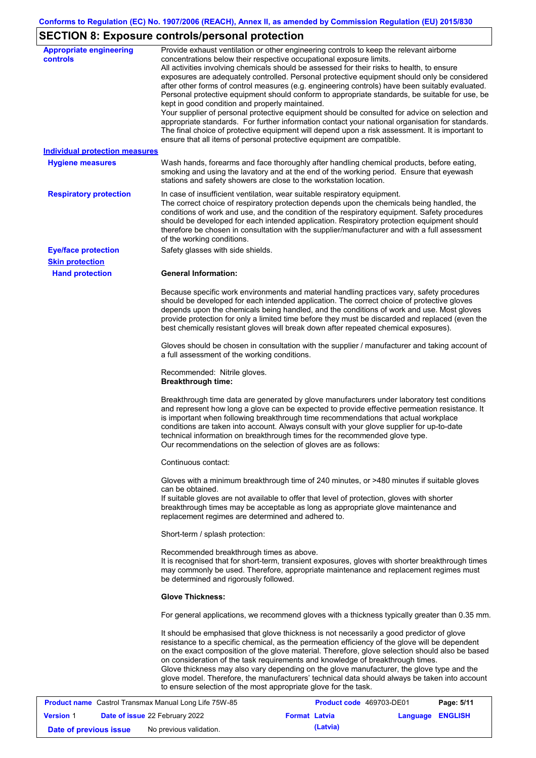# **SECTION 8: Exposure controls/personal protection**

| <b>Appropriate engineering</b><br><b>controls</b>            | Provide exhaust ventilation or other engineering controls to keep the relevant airborne<br>concentrations below their respective occupational exposure limits.<br>All activities involving chemicals should be assessed for their risks to health, to ensure<br>exposures are adequately controlled. Personal protective equipment should only be considered<br>after other forms of control measures (e.g. engineering controls) have been suitably evaluated.<br>Personal protective equipment should conform to appropriate standards, be suitable for use, be<br>kept in good condition and properly maintained.<br>Your supplier of personal protective equipment should be consulted for advice on selection and<br>appropriate standards. For further information contact your national organisation for standards.<br>The final choice of protective equipment will depend upon a risk assessment. It is important to<br>ensure that all items of personal protective equipment are compatible. |
|--------------------------------------------------------------|---------------------------------------------------------------------------------------------------------------------------------------------------------------------------------------------------------------------------------------------------------------------------------------------------------------------------------------------------------------------------------------------------------------------------------------------------------------------------------------------------------------------------------------------------------------------------------------------------------------------------------------------------------------------------------------------------------------------------------------------------------------------------------------------------------------------------------------------------------------------------------------------------------------------------------------------------------------------------------------------------------|
| <b>Individual protection measures</b>                        |                                                                                                                                                                                                                                                                                                                                                                                                                                                                                                                                                                                                                                                                                                                                                                                                                                                                                                                                                                                                         |
| <b>Hygiene measures</b>                                      | Wash hands, forearms and face thoroughly after handling chemical products, before eating,<br>smoking and using the lavatory and at the end of the working period. Ensure that eyewash<br>stations and safety showers are close to the workstation location.                                                                                                                                                                                                                                                                                                                                                                                                                                                                                                                                                                                                                                                                                                                                             |
| <b>Respiratory protection</b>                                | In case of insufficient ventilation, wear suitable respiratory equipment.<br>The correct choice of respiratory protection depends upon the chemicals being handled, the<br>conditions of work and use, and the condition of the respiratory equipment. Safety procedures<br>should be developed for each intended application. Respiratory protection equipment should<br>therefore be chosen in consultation with the supplier/manufacturer and with a full assessment<br>of the working conditions.                                                                                                                                                                                                                                                                                                                                                                                                                                                                                                   |
| <b>Eye/face protection</b>                                   | Safety glasses with side shields.                                                                                                                                                                                                                                                                                                                                                                                                                                                                                                                                                                                                                                                                                                                                                                                                                                                                                                                                                                       |
| <b>Skin protection</b>                                       |                                                                                                                                                                                                                                                                                                                                                                                                                                                                                                                                                                                                                                                                                                                                                                                                                                                                                                                                                                                                         |
| <b>Hand protection</b>                                       | <b>General Information:</b>                                                                                                                                                                                                                                                                                                                                                                                                                                                                                                                                                                                                                                                                                                                                                                                                                                                                                                                                                                             |
|                                                              | Because specific work environments and material handling practices vary, safety procedures<br>should be developed for each intended application. The correct choice of protective gloves<br>depends upon the chemicals being handled, and the conditions of work and use. Most gloves<br>provide protection for only a limited time before they must be discarded and replaced (even the<br>best chemically resistant gloves will break down after repeated chemical exposures).                                                                                                                                                                                                                                                                                                                                                                                                                                                                                                                        |
|                                                              | Gloves should be chosen in consultation with the supplier / manufacturer and taking account of<br>a full assessment of the working conditions.                                                                                                                                                                                                                                                                                                                                                                                                                                                                                                                                                                                                                                                                                                                                                                                                                                                          |
|                                                              | Recommended: Nitrile gloves.<br><b>Breakthrough time:</b>                                                                                                                                                                                                                                                                                                                                                                                                                                                                                                                                                                                                                                                                                                                                                                                                                                                                                                                                               |
|                                                              | Breakthrough time data are generated by glove manufacturers under laboratory test conditions<br>and represent how long a glove can be expected to provide effective permeation resistance. It<br>is important when following breakthrough time recommendations that actual workplace<br>conditions are taken into account. Always consult with your glove supplier for up-to-date<br>technical information on breakthrough times for the recommended glove type.<br>Our recommendations on the selection of gloves are as follows:                                                                                                                                                                                                                                                                                                                                                                                                                                                                      |
|                                                              | Continuous contact:                                                                                                                                                                                                                                                                                                                                                                                                                                                                                                                                                                                                                                                                                                                                                                                                                                                                                                                                                                                     |
|                                                              | Gloves with a minimum breakthrough time of 240 minutes, or >480 minutes if suitable gloves<br>can be obtained.<br>If suitable gloves are not available to offer that level of protection, gloves with shorter<br>breakthrough times may be acceptable as long as appropriate glove maintenance and<br>replacement regimes are determined and adhered to.                                                                                                                                                                                                                                                                                                                                                                                                                                                                                                                                                                                                                                                |
|                                                              | Short-term / splash protection:                                                                                                                                                                                                                                                                                                                                                                                                                                                                                                                                                                                                                                                                                                                                                                                                                                                                                                                                                                         |
|                                                              | Recommended breakthrough times as above.<br>It is recognised that for short-term, transient exposures, gloves with shorter breakthrough times<br>may commonly be used. Therefore, appropriate maintenance and replacement regimes must<br>be determined and rigorously followed.                                                                                                                                                                                                                                                                                                                                                                                                                                                                                                                                                                                                                                                                                                                        |
|                                                              | <b>Glove Thickness:</b>                                                                                                                                                                                                                                                                                                                                                                                                                                                                                                                                                                                                                                                                                                                                                                                                                                                                                                                                                                                 |
|                                                              | For general applications, we recommend gloves with a thickness typically greater than 0.35 mm.                                                                                                                                                                                                                                                                                                                                                                                                                                                                                                                                                                                                                                                                                                                                                                                                                                                                                                          |
|                                                              | It should be emphasised that glove thickness is not necessarily a good predictor of glove<br>resistance to a specific chemical, as the permeation efficiency of the glove will be dependent<br>on the exact composition of the glove material. Therefore, glove selection should also be based<br>on consideration of the task requirements and knowledge of breakthrough times.<br>Glove thickness may also vary depending on the glove manufacturer, the glove type and the<br>glove model. Therefore, the manufacturers' technical data should always be taken into account<br>to ensure selection of the most appropriate glove for the task.                                                                                                                                                                                                                                                                                                                                                       |
| <b>Product name</b> Castrol Transmax Manual Long Life 75W-85 | <b>Product code</b> 469703-DE01<br>Page: 5/11                                                                                                                                                                                                                                                                                                                                                                                                                                                                                                                                                                                                                                                                                                                                                                                                                                                                                                                                                           |

|                        | <b>Product name</b> Castrol Transmax Manual Long Life 75W-85 |                      | Product code 469703-DE01 | Page: 5/11 |
|------------------------|--------------------------------------------------------------|----------------------|--------------------------|------------|
| <b>Version 1</b>       | <b>Date of issue 22 February 2022</b>                        | <b>Format Latvia</b> | <b>Language ENGLISH</b>  |            |
| Date of previous issue | No previous validation.                                      | (Latvia)             |                          |            |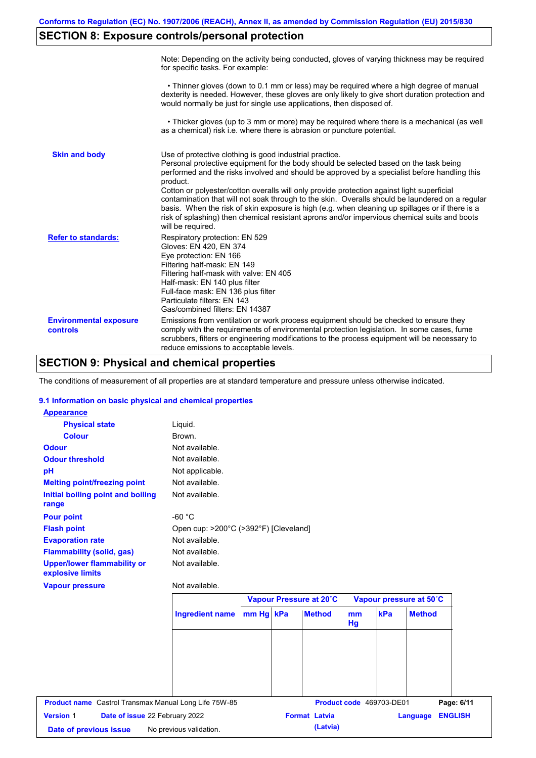# **SECTION 8: Exposure controls/personal protection**

|                                           | Note: Depending on the activity being conducted, gloves of varying thickness may be required<br>for specific tasks. For example:                                                                                                                                                                                                                                                                                                                                                                                                                                                                                                                                                      |
|-------------------------------------------|---------------------------------------------------------------------------------------------------------------------------------------------------------------------------------------------------------------------------------------------------------------------------------------------------------------------------------------------------------------------------------------------------------------------------------------------------------------------------------------------------------------------------------------------------------------------------------------------------------------------------------------------------------------------------------------|
|                                           | • Thinner gloves (down to 0.1 mm or less) may be required where a high degree of manual<br>dexterity is needed. However, these gloves are only likely to give short duration protection and<br>would normally be just for single use applications, then disposed of.                                                                                                                                                                                                                                                                                                                                                                                                                  |
|                                           | • Thicker gloves (up to 3 mm or more) may be required where there is a mechanical (as well<br>as a chemical) risk i.e. where there is abrasion or puncture potential.                                                                                                                                                                                                                                                                                                                                                                                                                                                                                                                 |
| <b>Skin and body</b>                      | Use of protective clothing is good industrial practice.<br>Personal protective equipment for the body should be selected based on the task being<br>performed and the risks involved and should be approved by a specialist before handling this<br>product.<br>Cotton or polyester/cotton overalls will only provide protection against light superficial<br>contamination that will not soak through to the skin. Overalls should be laundered on a regular<br>basis. When the risk of skin exposure is high (e.g. when cleaning up spillages or if there is a<br>risk of splashing) then chemical resistant aprons and/or impervious chemical suits and boots<br>will be required. |
| <b>Refer to standards:</b>                | Respiratory protection: EN 529<br>Gloves: EN 420, EN 374<br>Eye protection: EN 166<br>Filtering half-mask: EN 149<br>Filtering half-mask with valve: EN 405<br>Half-mask: EN 140 plus filter<br>Full-face mask: EN 136 plus filter<br>Particulate filters: EN 143<br>Gas/combined filters: EN 14387                                                                                                                                                                                                                                                                                                                                                                                   |
| <b>Environmental exposure</b><br>controls | Emissions from ventilation or work process equipment should be checked to ensure they<br>comply with the requirements of environmental protection legislation. In some cases, fume<br>scrubbers, filters or engineering modifications to the process equipment will be necessary to<br>reduce emissions to acceptable levels.                                                                                                                                                                                                                                                                                                                                                         |

## **SECTION 9: Physical and chemical properties**

The conditions of measurement of all properties are at standard temperature and pressure unless otherwise indicated.

### **9.1 Information on basic physical and chemical properties**

| <b>Appearance</b>                                     |                                       |           |                         |          |                          |                         |                |
|-------------------------------------------------------|---------------------------------------|-----------|-------------------------|----------|--------------------------|-------------------------|----------------|
| <b>Physical state</b>                                 | Liquid.                               |           |                         |          |                          |                         |                |
| <b>Colour</b>                                         | <b>Brown</b>                          |           |                         |          |                          |                         |                |
| <b>Odour</b>                                          | Not available.                        |           |                         |          |                          |                         |                |
| <b>Odour threshold</b>                                | Not available.                        |           |                         |          |                          |                         |                |
| pH                                                    | Not applicable.                       |           |                         |          |                          |                         |                |
| <b>Melting point/freezing point</b>                   | Not available.                        |           |                         |          |                          |                         |                |
| Initial boiling point and boiling<br>range            | Not available.                        |           |                         |          |                          |                         |                |
| <b>Pour point</b>                                     | $-60 °C$                              |           |                         |          |                          |                         |                |
| <b>Flash point</b>                                    | Open cup: >200°C (>392°F) [Cleveland] |           |                         |          |                          |                         |                |
| <b>Evaporation rate</b>                               | Not available.                        |           |                         |          |                          |                         |                |
| <b>Flammability (solid, gas)</b>                      | Not available.                        |           |                         |          |                          |                         |                |
| <b>Upper/lower flammability or</b>                    | Not available.                        |           |                         |          |                          |                         |                |
| explosive limits                                      |                                       |           |                         |          |                          |                         |                |
| <b>Vapour pressure</b>                                | Not available.                        |           |                         |          |                          |                         |                |
|                                                       |                                       |           | Vapour Pressure at 20°C |          |                          | Vapour pressure at 50°C |                |
|                                                       | <b>Ingredient name</b>                | mm Hg kPa | <b>Method</b>           | mm<br>Hg | kPa                      | <b>Method</b>           |                |
|                                                       |                                       |           |                         |          |                          |                         |                |
|                                                       |                                       |           |                         |          |                          |                         |                |
|                                                       |                                       |           |                         |          |                          |                         |                |
| Product name Castrol Transmax Manual Long Life 75W-85 |                                       |           |                         |          | Product code 469703-DE01 |                         | Page: 6/11     |
| Date of issue 22 February 2022<br><b>Version 1</b>    |                                       |           | <b>Format Latvia</b>    |          |                          | Language                | <b>ENGLISH</b> |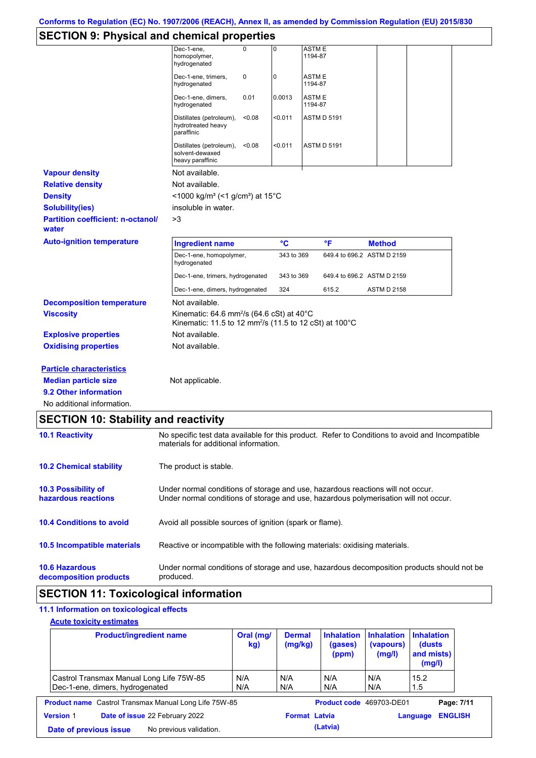# **SECTION 9: Physical and chemical properties**

|                                          | Dec-1-ene,<br>homopolymer,<br>hydrogenated                                                                                             | $\Omega$ | $\overline{0}$ | ASTM E<br>1194-87 |                            |                    |  |
|------------------------------------------|----------------------------------------------------------------------------------------------------------------------------------------|----------|----------------|-------------------|----------------------------|--------------------|--|
|                                          | Dec-1-ene, trimers,<br>hydrogenated                                                                                                    | 0        | 0              | ASTM E<br>1194-87 |                            |                    |  |
|                                          | Dec-1-ene, dimers,<br>hydrogenated                                                                                                     | 0.01     | 0.0013         | ASTM E<br>1194-87 |                            |                    |  |
|                                          | Distillates (petroleum),<br>hydrotreated heavy<br>paraffinic                                                                           | < 0.08   | < 0.011        |                   | <b>ASTM D 5191</b>         |                    |  |
|                                          | Distillates (petroleum),<br>solvent-dewaxed<br>heavy paraffinic                                                                        | < 0.08   | < 0.011        |                   | <b>ASTM D 5191</b>         |                    |  |
| <b>Vapour density</b>                    | Not available.                                                                                                                         |          |                |                   |                            |                    |  |
| <b>Relative density</b>                  | Not available.                                                                                                                         |          |                |                   |                            |                    |  |
| <b>Density</b>                           | <1000 kg/m <sup>3</sup> (<1 g/cm <sup>3</sup> ) at 15°C                                                                                |          |                |                   |                            |                    |  |
| <b>Solubility(ies)</b>                   | insoluble in water.                                                                                                                    |          |                |                   |                            |                    |  |
| <b>Partition coefficient: n-octanol/</b> | >3                                                                                                                                     |          |                |                   |                            |                    |  |
| water                                    |                                                                                                                                        |          |                |                   |                            |                    |  |
| <b>Auto-ignition temperature</b>         | <b>Ingredient name</b>                                                                                                                 |          | °C             |                   | °F                         | <b>Method</b>      |  |
|                                          | Dec-1-ene, homopolymer,<br>hydrogenated                                                                                                |          | 343 to 369     |                   | 649.4 to 696.2 ASTM D 2159 |                    |  |
|                                          | Dec-1-ene, trimers, hydrogenated                                                                                                       |          | 343 to 369     |                   | 649.4 to 696.2 ASTM D 2159 |                    |  |
|                                          | Dec-1-ene, dimers, hydrogenated                                                                                                        |          | 324            |                   | 615.2                      | <b>ASTM D 2158</b> |  |
| <b>Decomposition temperature</b>         | Not available.                                                                                                                         |          |                |                   |                            |                    |  |
| <b>Viscosity</b>                         | Kinematic: 64.6 mm <sup>2</sup> /s (64.6 cSt) at 40 $^{\circ}$ C<br>Kinematic: 11.5 to 12 mm <sup>2</sup> /s (11.5 to 12 cSt) at 100°C |          |                |                   |                            |                    |  |
| <b>Explosive properties</b>              | Not available.                                                                                                                         |          |                |                   |                            |                    |  |
| <b>Oxidising properties</b>              | Not available.                                                                                                                         |          |                |                   |                            |                    |  |
| <b>Particle characteristics</b>          |                                                                                                                                        |          |                |                   |                            |                    |  |
| <b>Median particle size</b>              | Not applicable.                                                                                                                        |          |                |                   |                            |                    |  |
| 9.2 Other information                    |                                                                                                                                        |          |                |                   |                            |                    |  |

| <b>SECTION 10: Stability and reactivity</b>       |                                                                                                                                                                         |
|---------------------------------------------------|-------------------------------------------------------------------------------------------------------------------------------------------------------------------------|
| <b>10.1 Reactivity</b>                            | No specific test data available for this product. Refer to Conditions to avoid and Incompatible<br>materials for additional information.                                |
| <b>10.2 Chemical stability</b>                    | The product is stable.                                                                                                                                                  |
| <b>10.3 Possibility of</b><br>hazardous reactions | Under normal conditions of storage and use, hazardous reactions will not occur.<br>Under normal conditions of storage and use, hazardous polymerisation will not occur. |
| <b>10.4 Conditions to avoid</b>                   | Avoid all possible sources of ignition (spark or flame).                                                                                                                |
| 10.5 Incompatible materials                       | Reactive or incompatible with the following materials: oxidising materials.                                                                                             |
| <b>10.6 Hazardous</b><br>decomposition products   | Under normal conditions of storage and use, hazardous decomposition products should not be<br>produced.                                                                 |

## **SECTION 11: Toxicological information**

### **11.1 Information on toxicological effects**

**Acute toxicity estimates**

| <b>Product/ingredient name</b>                                              | Oral (mg/<br>kg) | <b>Dermal</b><br>(mg/kg) | <b>Inhalation</b><br>(gases)<br>(ppm) | <b>Inhalation</b><br>(vapours)<br>(mg/l) | <b>Inhalation</b><br>(dusts)<br>and mists)<br>(mg/l) |  |
|-----------------------------------------------------------------------------|------------------|--------------------------|---------------------------------------|------------------------------------------|------------------------------------------------------|--|
| Castrol Transmax Manual Long Life 75W-85<br>Dec-1-ene, dimers, hydrogenated | N/A<br>N/A       | N/A<br>N/A               | N/A<br>N/A                            | N/A<br>N/A                               | 15.2<br>1.5                                          |  |
| <b>Product name</b> Castrol Transmax Manual Long Life 75W-85                |                  |                          | Product code 469703-DE01              |                                          | Page: 7/11                                           |  |
| Date of issue 22 February 2022<br><b>Version 1</b>                          |                  | <b>Format Latvia</b>     |                                       |                                          | <b>ENGLISH</b><br>Language                           |  |
| No previous validation.<br>Date of previous issue                           |                  |                          | (Latvia)                              |                                          |                                                      |  |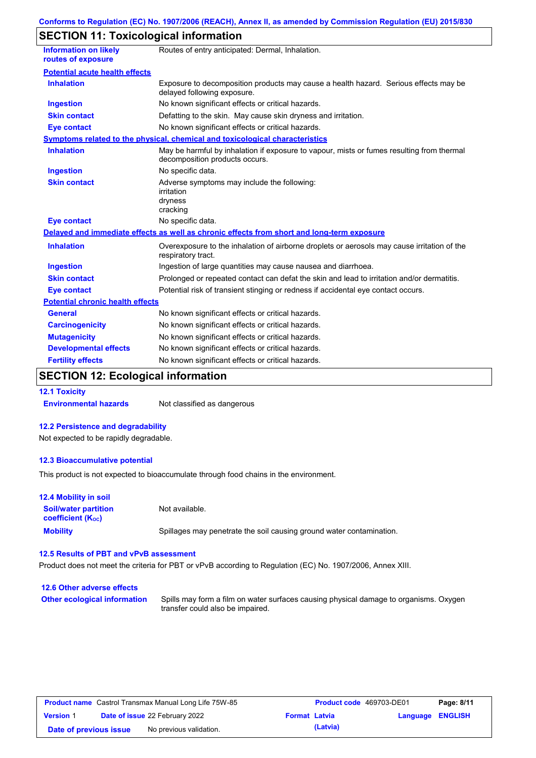# **SECTION 11: Toxicological information**

| <b>Information on likely</b><br>routes of exposure | Routes of entry anticipated: Dermal, Inhalation.                                                                            |
|----------------------------------------------------|-----------------------------------------------------------------------------------------------------------------------------|
| <b>Potential acute health effects</b>              |                                                                                                                             |
| <b>Inhalation</b>                                  | Exposure to decomposition products may cause a health hazard. Serious effects may be<br>delayed following exposure.         |
| <b>Ingestion</b>                                   | No known significant effects or critical hazards.                                                                           |
| <b>Skin contact</b>                                | Defatting to the skin. May cause skin dryness and irritation.                                                               |
| <b>Eye contact</b>                                 | No known significant effects or critical hazards.                                                                           |
|                                                    | Symptoms related to the physical, chemical and toxicological characteristics                                                |
| <b>Inhalation</b>                                  | May be harmful by inhalation if exposure to vapour, mists or fumes resulting from thermal<br>decomposition products occurs. |
| <b>Ingestion</b>                                   | No specific data.                                                                                                           |
| <b>Skin contact</b>                                | Adverse symptoms may include the following:<br>irritation<br>dryness<br>cracking                                            |
| <b>Eye contact</b>                                 | No specific data.                                                                                                           |
|                                                    | Delayed and immediate effects as well as chronic effects from short and long-term exposure                                  |
| <b>Inhalation</b>                                  | Overexposure to the inhalation of airborne droplets or aerosols may cause irritation of the<br>respiratory tract.           |
| <b>Ingestion</b>                                   | Ingestion of large quantities may cause nausea and diarrhoea.                                                               |
| <b>Skin contact</b>                                | Prolonged or repeated contact can defat the skin and lead to irritation and/or dermatitis.                                  |
| <b>Eye contact</b>                                 | Potential risk of transient stinging or redness if accidental eye contact occurs.                                           |
| <b>Potential chronic health effects</b>            |                                                                                                                             |
| <b>General</b>                                     | No known significant effects or critical hazards.                                                                           |
| <b>Carcinogenicity</b>                             | No known significant effects or critical hazards.                                                                           |
| <b>Mutagenicity</b>                                | No known significant effects or critical hazards.                                                                           |
| <b>Developmental effects</b>                       | No known significant effects or critical hazards.                                                                           |
| <b>Fertility effects</b>                           | No known significant effects or critical hazards.                                                                           |

# **SECTION 12: Ecological information**

**12.1 Toxicity**

**Environmental hazards** Not classified as dangerous

#### **12.2 Persistence and degradability**

Not expected to be rapidly degradable.

#### **12.3 Bioaccumulative potential**

This product is not expected to bioaccumulate through food chains in the environment.

| <b>12.4 Mobility in soil</b>                                  |                                                                      |
|---------------------------------------------------------------|----------------------------------------------------------------------|
| <b>Soil/water partition</b><br>coefficient (K <sub>oc</sub> ) | Not available.                                                       |
| <b>Mobility</b>                                               | Spillages may penetrate the soil causing ground water contamination. |

#### **12.5 Results of PBT and vPvB assessment**

Product does not meet the criteria for PBT or vPvB according to Regulation (EC) No. 1907/2006, Annex XIII.

| 12.6 Other adverse effects          |                                                                                                                           |
|-------------------------------------|---------------------------------------------------------------------------------------------------------------------------|
| <b>Other ecological information</b> | Spills may form a film on water surfaces causing physical damage to organisms. Oxygen<br>transfer could also be impaired. |

| <b>Product name</b> Castrol Transmax Manual Long Life 75W-85 |  |                                       |                      | <b>Product code</b> 469703-DE01 |                         | Page: 8/11 |
|--------------------------------------------------------------|--|---------------------------------------|----------------------|---------------------------------|-------------------------|------------|
| <b>Version 1</b>                                             |  | <b>Date of issue 22 February 2022</b> | <b>Format Latvia</b> |                                 | <b>Language ENGLISH</b> |            |
| Date of previous issue                                       |  | No previous validation.               |                      | (Latvia)                        |                         |            |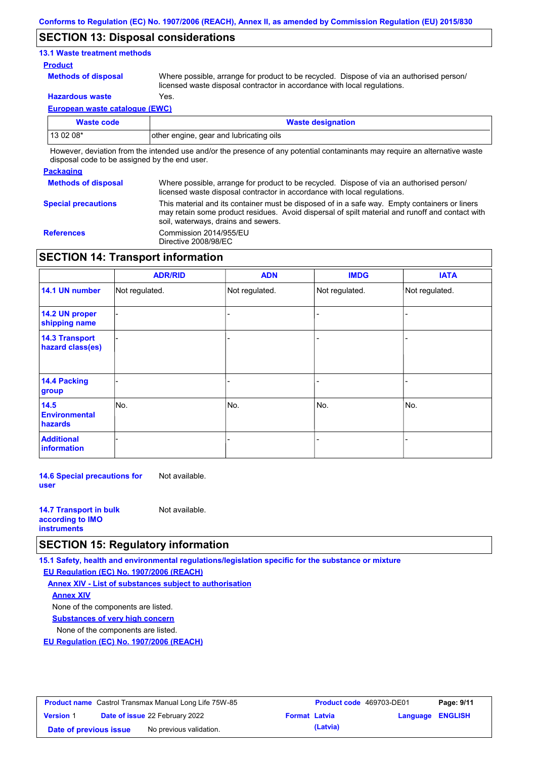### **SECTION 13: Disposal considerations**

### **13.1 Waste treatment methods**

#### **Product**

**Methods of disposal**

Where possible, arrange for product to be recycled. Dispose of via an authorised person/ licensed waste disposal contractor in accordance with local regulations.

**Hazardous waste** Yes.

**European waste catalogue (EWC)**

| Waste code                                                                                                                 | <b>Waste designation</b>                |  |  |  |
|----------------------------------------------------------------------------------------------------------------------------|-----------------------------------------|--|--|--|
| $130208*$                                                                                                                  | other engine, gear and lubricating oils |  |  |  |
| Unusuare deviation from the intended use englar the processe of onu potential conteminante mourneurire on elternative work |                                         |  |  |  |

However, deviation from the intended use and/or the presence of any potential contaminants may require an alternative waste disposal code to be assigned by the end user.

#### **Packaging**

| <b>Methods of disposal</b> | Where possible, arrange for product to be recycled. Dispose of via an authorised person/<br>licensed waste disposal contractor in accordance with local regulations.                                                                    |
|----------------------------|-----------------------------------------------------------------------------------------------------------------------------------------------------------------------------------------------------------------------------------------|
| <b>Special precautions</b> | This material and its container must be disposed of in a safe way. Empty containers or liners<br>may retain some product residues. Avoid dispersal of spilt material and runoff and contact with<br>soil, waterways, drains and sewers. |
| <b>References</b>          | Commission 2014/955/EU<br>Directive 2008/98/EC                                                                                                                                                                                          |

## **SECTION 14: Transport information**

|                                           | <b>ADR/RID</b> | <b>ADN</b>     | <b>IMDG</b>    | <b>IATA</b>    |
|-------------------------------------------|----------------|----------------|----------------|----------------|
| 14.1 UN number                            | Not regulated. | Not regulated. | Not regulated. | Not regulated. |
| 14.2 UN proper<br>shipping name           |                |                |                |                |
| <b>14.3 Transport</b><br>hazard class(es) |                |                |                |                |
| 14.4 Packing<br>group                     |                |                |                |                |
| 14.5<br><b>Environmental</b><br>hazards   | No.            | No.            | No.            | No.            |
| <b>Additional</b><br>information          |                |                |                |                |

**14.6 Special precautions for user** Not available.

| <b>14.7 Transport in bulk</b> | Not available. |
|-------------------------------|----------------|
| according to <b>IMO</b>       |                |
| <b>instruments</b>            |                |

### **SECTION 15: Regulatory information**

**15.1 Safety, health and environmental regulations/legislation specific for the substance or mixture**

**EU Regulation (EC) No. 1907/2006 (REACH)**

**Annex XIV - List of substances subject to authorisation Substances of very high concern** None of the components are listed. None of the components are listed. **Annex XIV**

**EU Regulation (EC) No. 1907/2006 (REACH)**

| <b>Product name</b> Castrol Transmax Manual Long Life 75W-85 |  |                                       |                      | <b>Product code</b> 469703-DE01 |                         | Page: 9/11 |
|--------------------------------------------------------------|--|---------------------------------------|----------------------|---------------------------------|-------------------------|------------|
| <b>Version 1</b>                                             |  | <b>Date of issue 22 February 2022</b> | <b>Format Latvia</b> |                                 | <b>Language ENGLISH</b> |            |
| Date of previous issue                                       |  | No previous validation.               |                      | (Latvia)                        |                         |            |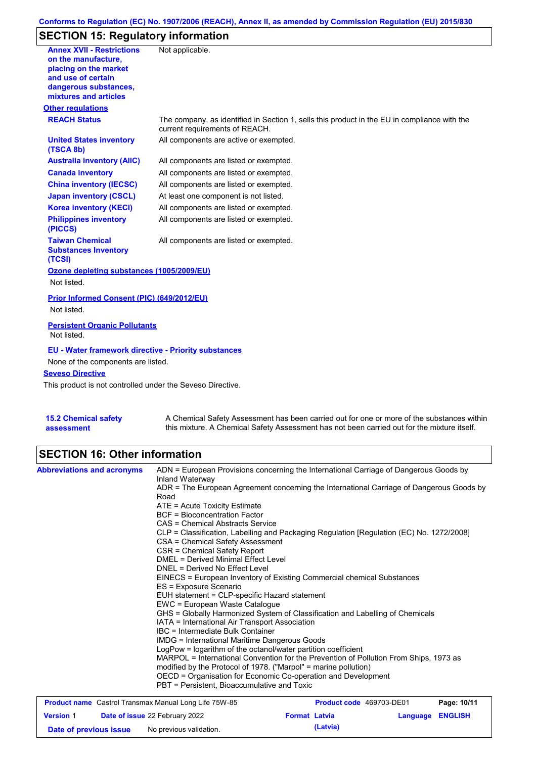### **Conforms to Regulation (EC) No. 1907/2006 (REACH), Annex II, as amended by Commission Regulation (EU) 2015/830**

# **SECTION 15: Regulatory information**

| <b>Annex XVII - Restrictions</b><br>on the manufacture.<br>placing on the market<br>and use of certain<br>dangerous substances,<br>mixtures and articles | Not applicable.                                                                                                                |
|----------------------------------------------------------------------------------------------------------------------------------------------------------|--------------------------------------------------------------------------------------------------------------------------------|
| <b>Other regulations</b>                                                                                                                                 |                                                                                                                                |
| <b>REACH Status</b>                                                                                                                                      | The company, as identified in Section 1, sells this product in the EU in compliance with the<br>current requirements of REACH. |
| <b>United States inventory</b><br>(TSCA 8b)                                                                                                              | All components are active or exempted.                                                                                         |
| <b>Australia inventory (AIIC)</b>                                                                                                                        | All components are listed or exempted.                                                                                         |
| <b>Canada inventory</b>                                                                                                                                  | All components are listed or exempted.                                                                                         |
| <b>China inventory (IECSC)</b>                                                                                                                           | All components are listed or exempted.                                                                                         |
| <b>Japan inventory (CSCL)</b>                                                                                                                            | At least one component is not listed.                                                                                          |
| <b>Korea inventory (KECI)</b>                                                                                                                            | All components are listed or exempted.                                                                                         |
| <b>Philippines inventory</b><br>(PICCS)                                                                                                                  | All components are listed or exempted.                                                                                         |
| <b>Taiwan Chemical</b><br><b>Substances Inventory</b><br>(TCSI)                                                                                          | All components are listed or exempted.                                                                                         |
| Ozone depleting substances (1005/2009/EU)                                                                                                                |                                                                                                                                |
| Not listed.                                                                                                                                              |                                                                                                                                |
| Prior Informed Consent (PIC) (649/2012/EU)                                                                                                               |                                                                                                                                |
| Not listed.                                                                                                                                              |                                                                                                                                |
| <b>Persistent Organic Pollutants</b><br>Not listed.                                                                                                      |                                                                                                                                |
| <b>EU - Water framework directive - Priority substances</b><br>None of the components are listed.                                                        |                                                                                                                                |
| <b>Seveso Directive</b>                                                                                                                                  |                                                                                                                                |
| This product is not controlled under the Seveso Directive.                                                                                               |                                                                                                                                |
|                                                                                                                                                          |                                                                                                                                |

**15.2 Chemical safety assessment**

A Chemical Safety Assessment has been carried out for one or more of the substances within this mixture. A Chemical Safety Assessment has not been carried out for the mixture itself.

## **SECTION 16: Other information**

| <b>Abbreviations and acronyms</b>                     | ADN = European Provisions concerning the International Carriage of Dangerous Goods by<br>Inland Waterway                     |  |  |  |  |
|-------------------------------------------------------|------------------------------------------------------------------------------------------------------------------------------|--|--|--|--|
|                                                       | ADR = The European Agreement concerning the International Carriage of Dangerous Goods by<br>Road                             |  |  |  |  |
|                                                       | $ATE =$ Acute Toxicity Estimate                                                                                              |  |  |  |  |
|                                                       | BCF = Bioconcentration Factor                                                                                                |  |  |  |  |
|                                                       | CAS = Chemical Abstracts Service                                                                                             |  |  |  |  |
|                                                       | CLP = Classification, Labelling and Packaging Regulation [Regulation (EC) No. 1272/2008]<br>CSA = Chemical Safety Assessment |  |  |  |  |
|                                                       | CSR = Chemical Safety Report                                                                                                 |  |  |  |  |
|                                                       | <b>DMEL = Derived Minimal Effect Level</b>                                                                                   |  |  |  |  |
|                                                       | DNEL = Derived No Effect Level                                                                                               |  |  |  |  |
|                                                       | EINECS = European Inventory of Existing Commercial chemical Substances                                                       |  |  |  |  |
|                                                       | ES = Exposure Scenario                                                                                                       |  |  |  |  |
|                                                       | EUH statement = CLP-specific Hazard statement                                                                                |  |  |  |  |
|                                                       | EWC = European Waste Catalogue                                                                                               |  |  |  |  |
|                                                       | GHS = Globally Harmonized System of Classification and Labelling of Chemicals                                                |  |  |  |  |
|                                                       | IATA = International Air Transport Association                                                                               |  |  |  |  |
|                                                       | IBC = Intermediate Bulk Container                                                                                            |  |  |  |  |
|                                                       | IMDG = International Maritime Dangerous Goods                                                                                |  |  |  |  |
|                                                       | LogPow = logarithm of the octanol/water partition coefficient                                                                |  |  |  |  |
|                                                       | MARPOL = International Convention for the Prevention of Pollution From Ships, 1973 as                                        |  |  |  |  |
|                                                       | modified by the Protocol of 1978. ("Marpol" = marine pollution)                                                              |  |  |  |  |
|                                                       | OECD = Organisation for Economic Co-operation and Development                                                                |  |  |  |  |
|                                                       | PBT = Persistent, Bioaccumulative and Toxic                                                                                  |  |  |  |  |
| Product name Castrol Transmax Manual Long Life 75W-85 | Page: 10/11<br><b>Product code</b> 469703-DE01                                                                               |  |  |  |  |

|                        | <b>Product Hallie</b> Castrol Hallshiax Mariual Long Life Town-65 |                      |          | <b>FIGURE COUP 403/03-DEUT</b> | <b>Faut.</b> IV/II |
|------------------------|-------------------------------------------------------------------|----------------------|----------|--------------------------------|--------------------|
| <b>Version 1</b>       | <b>Date of issue 22 February 2022</b>                             | <b>Format Latvia</b> |          | <b>Language ENGLISH</b>        |                    |
| Date of previous issue | No previous validation.                                           |                      | (Latvia) |                                |                    |